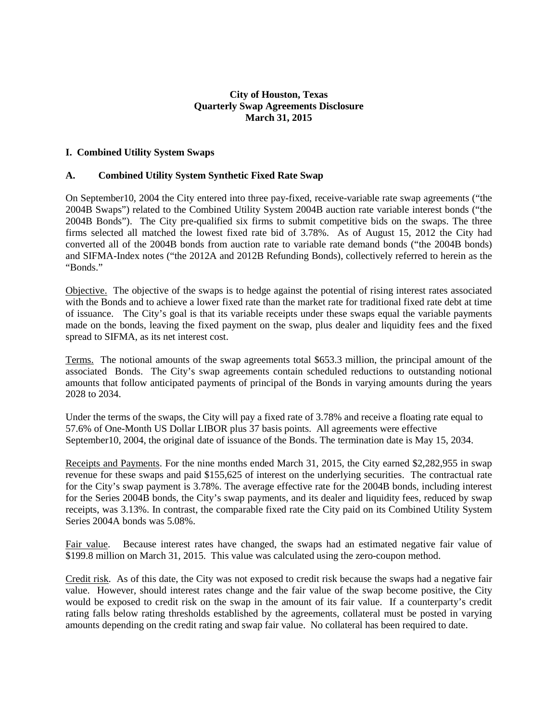## **City of Houston, Texas Quarterly Swap Agreements Disclosure March 31, 2015**

## **I. Combined Utility System Swaps**

## **A. Combined Utility System Synthetic Fixed Rate Swap**

On September10, 2004 the City entered into three pay-fixed, receive-variable rate swap agreements ("the 2004B Swaps") related to the Combined Utility System 2004B auction rate variable interest bonds ("the 2004B Bonds"). The City pre-qualified six firms to submit competitive bids on the swaps. The three firms selected all matched the lowest fixed rate bid of 3.78%. As of August 15, 2012 the City had converted all of the 2004B bonds from auction rate to variable rate demand bonds ("the 2004B bonds) and SIFMA-Index notes ("the 2012A and 2012B Refunding Bonds), collectively referred to herein as the "Bonds."

Objective. The objective of the swaps is to hedge against the potential of rising interest rates associated with the Bonds and to achieve a lower fixed rate than the market rate for traditional fixed rate debt at time of issuance. The City's goal is that its variable receipts under these swaps equal the variable payments made on the bonds, leaving the fixed payment on the swap, plus dealer and liquidity fees and the fixed spread to SIFMA, as its net interest cost.

Terms. The notional amounts of the swap agreements total \$653.3 million, the principal amount of the associated Bonds. The City's swap agreements contain scheduled reductions to outstanding notional amounts that follow anticipated payments of principal of the Bonds in varying amounts during the years 2028 to 2034.

Under the terms of the swaps, the City will pay a fixed rate of 3.78% and receive a floating rate equal to 57.6% of One-Month US Dollar LIBOR plus 37 basis points. All agreements were effective September10, 2004, the original date of issuance of the Bonds. The termination date is May 15, 2034.

Receipts and Payments. For the nine months ended March 31, 2015, the City earned \$2,282,955 in swap revenue for these swaps and paid \$155,625 of interest on the underlying securities. The contractual rate for the City's swap payment is 3.78%. The average effective rate for the 2004B bonds, including interest for the Series 2004B bonds, the City's swap payments, and its dealer and liquidity fees, reduced by swap receipts, was 3.13%. In contrast, the comparable fixed rate the City paid on its Combined Utility System Series 2004A bonds was 5.08%.

Fair value. Because interest rates have changed, the swaps had an estimated negative fair value of \$199.8 million on March 31, 2015. This value was calculated using the zero-coupon method.

Credit risk. As of this date, the City was not exposed to credit risk because the swaps had a negative fair value. However, should interest rates change and the fair value of the swap become positive, the City would be exposed to credit risk on the swap in the amount of its fair value. If a counterparty's credit rating falls below rating thresholds established by the agreements, collateral must be posted in varying amounts depending on the credit rating and swap fair value. No collateral has been required to date.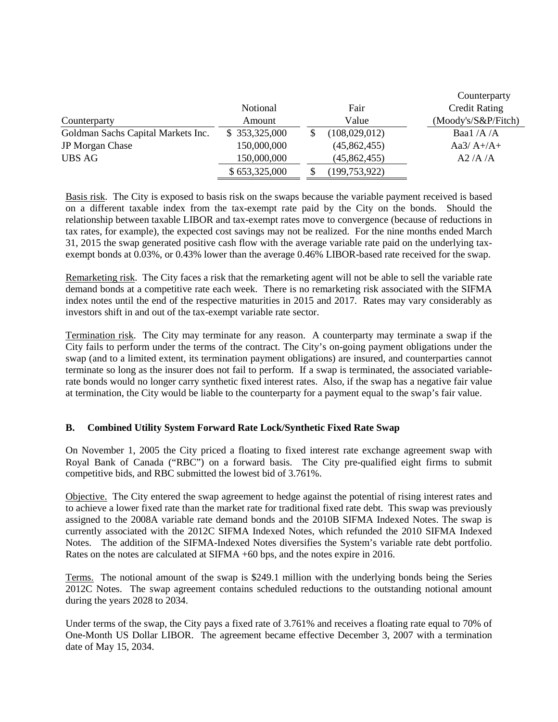|                                    |               |                 | Counterparty         |
|------------------------------------|---------------|-----------------|----------------------|
|                                    | Notional      | Fair            | <b>Credit Rating</b> |
| Counterparty                       | Amount        | Value           | (Moody's/S&P/Fitch)  |
| Goldman Sachs Capital Markets Inc. | \$353,325,000 | (108,029,012)   | Baal $/A/A$          |
| JP Morgan Chase                    | 150,000,000   | (45,862,455)    | Aa $3/A+/A+$         |
| <b>UBS AG</b>                      | 150,000,000   | (45,862,455)    | A2/A/A               |
|                                    | \$653,325,000 | (199, 753, 922) |                      |

Basis risk. The City is exposed to basis risk on the swaps because the variable payment received is based on a different taxable index from the tax-exempt rate paid by the City on the bonds. Should the relationship between taxable LIBOR and tax-exempt rates move to convergence (because of reductions in tax rates, for example), the expected cost savings may not be realized. For the nine months ended March 31, 2015 the swap generated positive cash flow with the average variable rate paid on the underlying taxexempt bonds at 0.03%, or 0.43% lower than the average 0.46% LIBOR-based rate received for the swap.

Remarketing risk. The City faces a risk that the remarketing agent will not be able to sell the variable rate demand bonds at a competitive rate each week. There is no remarketing risk associated with the SIFMA index notes until the end of the respective maturities in 2015 and 2017. Rates may vary considerably as investors shift in and out of the tax-exempt variable rate sector.

Termination risk. The City may terminate for any reason. A counterparty may terminate a swap if the City fails to perform under the terms of the contract. The City's on-going payment obligations under the swap (and to a limited extent, its termination payment obligations) are insured, and counterparties cannot terminate so long as the insurer does not fail to perform. If a swap is terminated, the associated variablerate bonds would no longer carry synthetic fixed interest rates. Also, if the swap has a negative fair value at termination, the City would be liable to the counterparty for a payment equal to the swap's fair value.

## **B. Combined Utility System Forward Rate Lock/Synthetic Fixed Rate Swap**

On November 1, 2005 the City priced a floating to fixed interest rate exchange agreement swap with Royal Bank of Canada ("RBC") on a forward basis. The City pre-qualified eight firms to submit competitive bids, and RBC submitted the lowest bid of 3.761%.

Objective. The City entered the swap agreement to hedge against the potential of rising interest rates and to achieve a lower fixed rate than the market rate for traditional fixed rate debt. This swap was previously assigned to the 2008A variable rate demand bonds and the 2010B SIFMA Indexed Notes. The swap is currently associated with the 2012C SIFMA Indexed Notes, which refunded the 2010 SIFMA Indexed Notes. The addition of the SIFMA-Indexed Notes diversifies the System's variable rate debt portfolio. Rates on the notes are calculated at SIFMA +60 bps, and the notes expire in 2016.

Terms. The notional amount of the swap is \$249.1 million with the underlying bonds being the Series 2012C Notes. The swap agreement contains scheduled reductions to the outstanding notional amount during the years 2028 to 2034.

Under terms of the swap, the City pays a fixed rate of 3.761% and receives a floating rate equal to 70% of One-Month US Dollar LIBOR. The agreement became effective December 3, 2007 with a termination date of May 15, 2034.